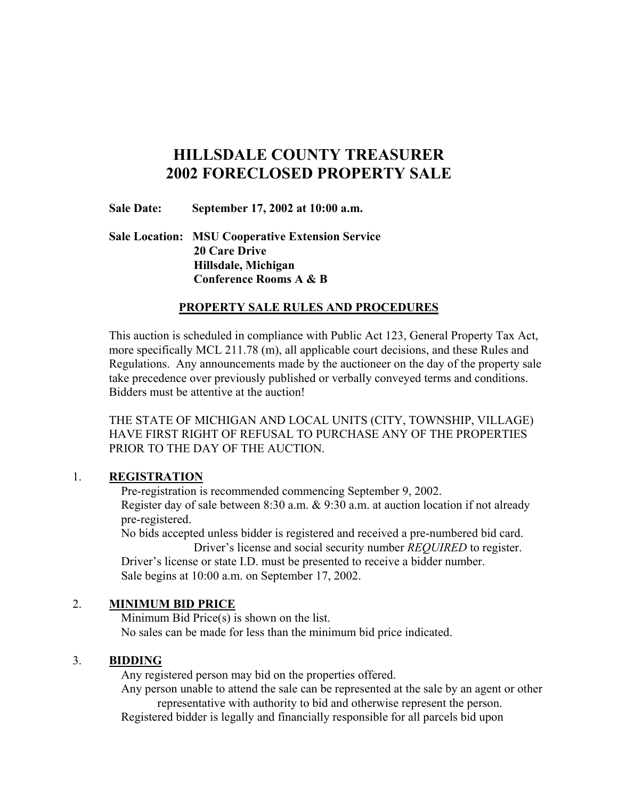# **HILLSDALE COUNTY TREASURER 2002 FORECLOSED PROPERTY SALE**

**Sale Date: September 17, 2002 at 10:00 a.m.**

**Sale Location: MSU Cooperative Extension Service 20 Care Drive Hillsdale, Michigan Conference Rooms A & B**

#### **PROPERTY SALE RULES AND PROCEDURES**

This auction is scheduled in compliance with Public Act 123, General Property Tax Act, more specifically MCL 211.78 (m), all applicable court decisions, and these Rules and Regulations. Any announcements made by the auctioneer on the day of the property sale take precedence over previously published or verbally conveyed terms and conditions. Bidders must be attentive at the auction!

THE STATE OF MICHIGAN AND LOCAL UNITS (CITY, TOWNSHIP, VILLAGE) HAVE FIRST RIGHT OF REFUSAL TO PURCHASE ANY OF THE PROPERTIES PRIOR TO THE DAY OF THE AUCTION.

#### 1. **REGISTRATION**

 Pre-registration is recommended commencing September 9, 2002. Register day of sale between 8:30 a.m. & 9:30 a.m. at auction location if not already pre-registered.

 No bids accepted unless bidder is registered and received a pre-numbered bid card. Driver's license and social security number *REQUIRED* to register.

 Driver's license or state I.D. must be presented to receive a bidder number. Sale begins at 10:00 a.m. on September 17, 2002.

# 2. **MINIMUM BID PRICE**

 Minimum Bid Price(s) is shown on the list. No sales can be made for less than the minimum bid price indicated.

# 3. **BIDDING**

Any registered person may bid on the properties offered.

 Any person unable to attend the sale can be represented at the sale by an agent or other representative with authority to bid and otherwise represent the person.

Registered bidder is legally and financially responsible for all parcels bid upon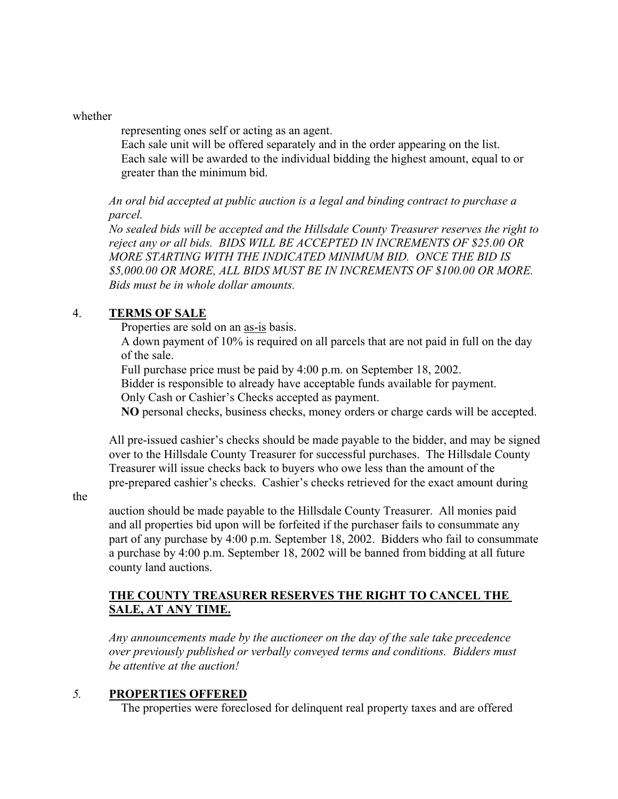#### whether

representing ones self or acting as an agent.

 Each sale unit will be offered separately and in the order appearing on the list. Each sale will be awarded to the individual bidding the highest amount, equal to or greater than the minimum bid.

*An oral bid accepted at public auction is a legal and binding contract to purchase a parcel.*

*No sealed bids will be accepted and the Hillsdale County Treasurer reserves the right to reject any or all bids. BIDS WILL BE ACCEPTED IN INCREMENTS OF \$25.00 OR MORE STARTING WITH THE INDICATED MINIMUM BID. ONCE THE BID IS \$5,000.00 OR MORE, ALL BIDS MUST BE IN INCREMENTS OF \$100.00 OR MORE. Bids must be in whole dollar amounts.*

# 4. **TERMS OF SALE**

Properties are sold on an as-is basis.

 A down payment of 10% is required on all parcels that are not paid in full on the day of the sale.

Full purchase price must be paid by 4:00 p.m. on September 18, 2002.

Bidder is responsible to already have acceptable funds available for payment.

Only Cash or Cashier's Checks accepted as payment.

**NO** personal checks, business checks, money orders or charge cards will be accepted.

All pre-issued cashier's checks should be made payable to the bidder, and may be signed over to the Hillsdale County Treasurer for successful purchases. The Hillsdale County Treasurer will issue checks back to buyers who owe less than the amount of the pre-prepared cashier's checks. Cashier's checks retrieved for the exact amount during

the

auction should be made payable to the Hillsdale County Treasurer. All monies paid and all properties bid upon will be forfeited if the purchaser fails to consummate any part of any purchase by 4:00 p.m. September 18, 2002. Bidders who fail to consummate a purchase by 4:00 p.m. September 18, 2002 will be banned from bidding at all future county land auctions.

# **THE COUNTY TREASURER RESERVES THE RIGHT TO CANCEL THE SALE, AT ANY TIME.**

*Any announcements made by the auctioneer on the day of the sale take precedence over previously published or verbally conveyed terms and conditions. Bidders must be attentive at the auction!*

# *5.* **PROPERTIES OFFERED**

The properties were foreclosed for delinquent real property taxes and are offered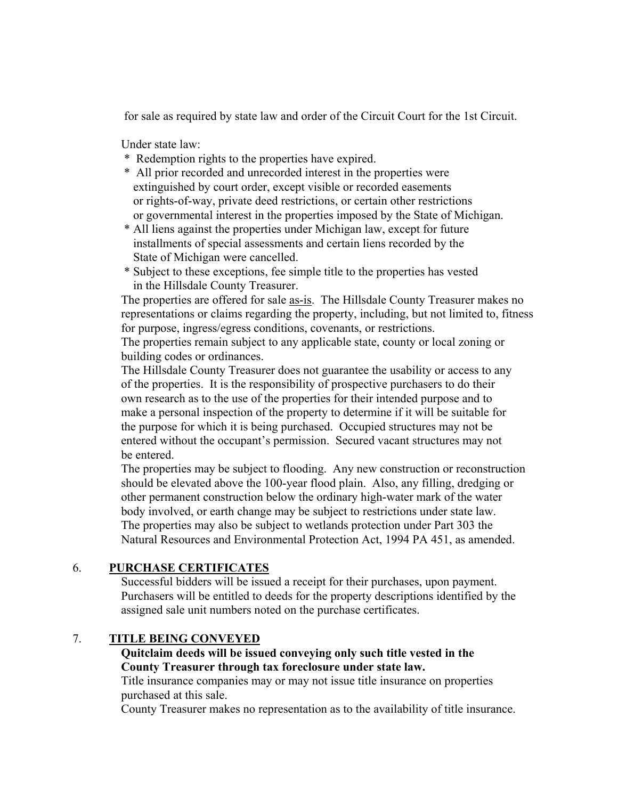for sale as required by state law and order of the Circuit Court for the 1st Circuit.

Under state law:

- \* Redemption rights to the properties have expired.
- \* All prior recorded and unrecorded interest in the properties were extinguished by court order, except visible or recorded easements or rights-of-way, private deed restrictions, or certain other restrictions or governmental interest in the properties imposed by the State of Michigan.
- \* All liens against the properties under Michigan law, except for future installments of special assessments and certain liens recorded by the State of Michigan were cancelled.
- \* Subject to these exceptions, fee simple title to the properties has vested in the Hillsdale County Treasurer.

 The properties are offered for sale as-is. The Hillsdale County Treasurer makes no representations or claims regarding the property, including, but not limited to, fitness for purpose, ingress/egress conditions, covenants, or restrictions.

 The properties remain subject to any applicable state, county or local zoning or building codes or ordinances.

 The Hillsdale County Treasurer does not guarantee the usability or access to any of the properties. It is the responsibility of prospective purchasers to do their own research as to the use of the properties for their intended purpose and to make a personal inspection of the property to determine if it will be suitable for the purpose for which it is being purchased. Occupied structures may not be entered without the occupant's permission. Secured vacant structures may not be entered.

 The properties may be subject to flooding. Any new construction or reconstruction should be elevated above the 100-year flood plain. Also, any filling, dredging or other permanent construction below the ordinary high-water mark of the water body involved, or earth change may be subject to restrictions under state law. The properties may also be subject to wetlands protection under Part 303 the Natural Resources and Environmental Protection Act, 1994 PA 451, as amended.

# 6. **PURCHASE CERTIFICATES**

 Successful bidders will be issued a receipt for their purchases, upon payment. Purchasers will be entitled to deeds for the property descriptions identified by the assigned sale unit numbers noted on the purchase certificates.

# 7. **TITLE BEING CONVEYED**

## **Quitclaim deeds will be issued conveying only such title vested in the County Treasurer through tax foreclosure under state law.**

Title insurance companies may or may not issue title insurance on properties purchased at this sale.

County Treasurer makes no representation as to the availability of title insurance.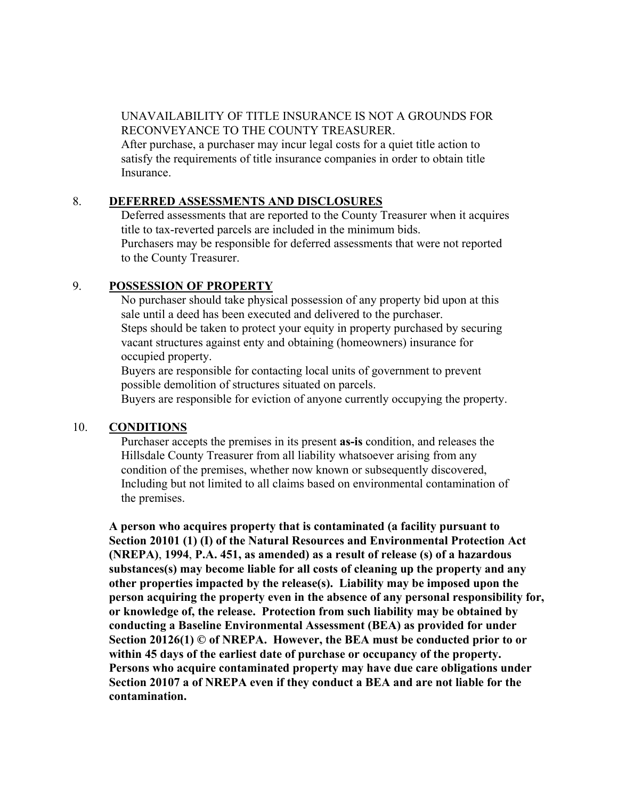## UNAVAILABILITY OF TITLE INSURANCE IS NOT A GROUNDS FOR RECONVEYANCE TO THE COUNTY TREASURER.

 After purchase, a purchaser may incur legal costs for a quiet title action to satisfy the requirements of title insurance companies in order to obtain title Insurance.

#### 8. **DEFERRED ASSESSMENTS AND DISCLOSURES**

 Deferred assessments that are reported to the County Treasurer when it acquires title to tax-reverted parcels are included in the minimum bids. Purchasers may be responsible for deferred assessments that were not reported to the County Treasurer.

# 9. **POSSESSION OF PROPERTY**

 No purchaser should take physical possession of any property bid upon at this sale until a deed has been executed and delivered to the purchaser. Steps should be taken to protect your equity in property purchased by securing vacant structures against enty and obtaining (homeowners) insurance for occupied property.

 Buyers are responsible for contacting local units of government to prevent possible demolition of structures situated on parcels.

Buyers are responsible for eviction of anyone currently occupying the property.

# 10. **CONDITIONS**

 Purchaser accepts the premises in its present **as-is** condition, and releases the Hillsdale County Treasurer from all liability whatsoever arising from any condition of the premises, whether now known or subsequently discovered, Including but not limited to all claims based on environmental contamination of the premises.

**A person who acquires property that is contaminated (a facility pursuant to Section 20101 (1) (I) of the Natural Resources and Environmental Protection Act (NREPA)**, **1994**, **P.A. 451, as amended) as a result of release (s) of a hazardous substances(s) may become liable for all costs of cleaning up the property and any other properties impacted by the release(s). Liability may be imposed upon the person acquiring the property even in the absence of any personal responsibility for, or knowledge of, the release. Protection from such liability may be obtained by conducting a Baseline Environmental Assessment (BEA) as provided for under Section 20126(1) © of NREPA. However, the BEA must be conducted prior to or within 45 days of the earliest date of purchase or occupancy of the property. Persons who acquire contaminated property may have due care obligations under Section 20107 a of NREPA even if they conduct a BEA and are not liable for the contamination.**